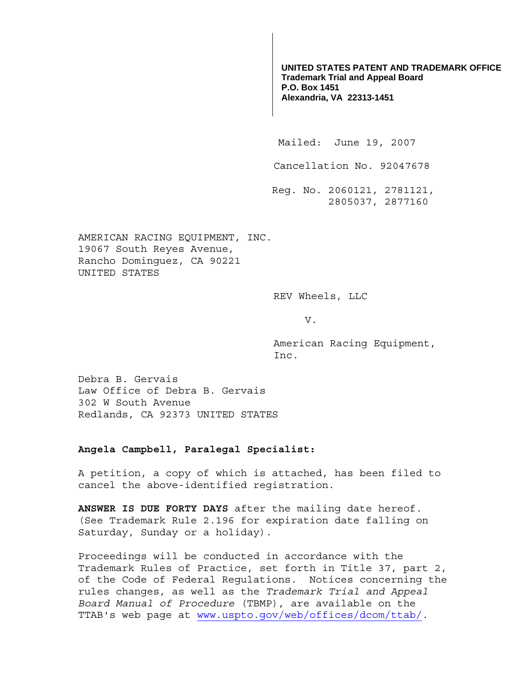**UNITED STATES PATENT AND TRADEMARK OFFICE Trademark Trial and Appeal Board P.O. Box 1451 Alexandria, VA 22313-1451**

Mailed: June 19, 2007

Cancellation No. 92047678

 Reg. No. 2060121, 2781121, 2805037, 2877160

AMERICAN RACING EQUIPMENT, INC. 19067 South Reyes Avenue, Rancho Dominguez, CA 90221 UNITED STATES

REV Wheels, LLC

V.

American Racing Equipment, Inc.

Debra B. Gervais Law Office of Debra B. Gervais 302 W South Avenue Redlands, CA 92373 UNITED STATES

## **Angela Campbell, Paralegal Specialist:**

A petition, a copy of which is attached, has been filed to cancel the above-identified registration.

**ANSWER IS DUE FORTY DAYS** after the mailing date hereof. (See Trademark Rule 2.196 for expiration date falling on Saturday, Sunday or a holiday).

Proceedings will be conducted in accordance with the Trademark Rules of Practice, set forth in Title 37, part 2, of the Code of Federal Regulations. Notices concerning the rules changes, as well as the *Trademark Trial and Appeal Board Manual of Procedure* (TBMP), are available on the TTAB's web page at www.uspto.gov/web/offices/dcom/ttab/.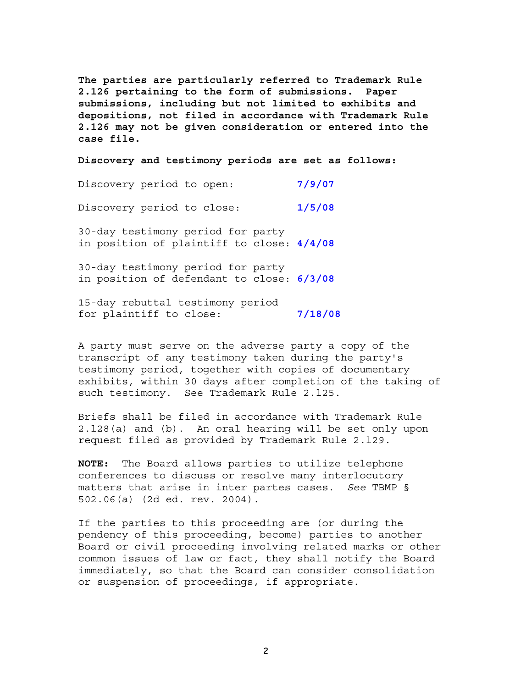**The parties are particularly referred to Trademark Rule 2.126 pertaining to the form of submissions. Paper submissions, including but not limited to exhibits and depositions, not filed in accordance with Trademark Rule 2.126 may not be given consideration or entered into the case file.** 

**Discovery and testimony periods are set as follows:**

Discovery period to open: **7/9/07** Discovery period to close: **1/5/08** 30-day testimony period for party in position of plaintiff to close: **4/4/08** 30-day testimony period for party in position of defendant to close: **6/3/08**

15-day rebuttal testimony period for plaintiff to close: **7/18/08**

A party must serve on the adverse party a copy of the transcript of any testimony taken during the party's testimony period, together with copies of documentary exhibits, within 30 days after completion of the taking of such testimony. See Trademark Rule 2.l25.

Briefs shall be filed in accordance with Trademark Rule 2.l28(a) and (b). An oral hearing will be set only upon request filed as provided by Trademark Rule 2.l29.

**NOTE:** The Board allows parties to utilize telephone conferences to discuss or resolve many interlocutory matters that arise in inter partes cases. *See* TBMP § 502.06(a) (2d ed. rev. 2004).

If the parties to this proceeding are (or during the pendency of this proceeding, become) parties to another Board or civil proceeding involving related marks or other common issues of law or fact, they shall notify the Board immediately, so that the Board can consider consolidation or suspension of proceedings, if appropriate.